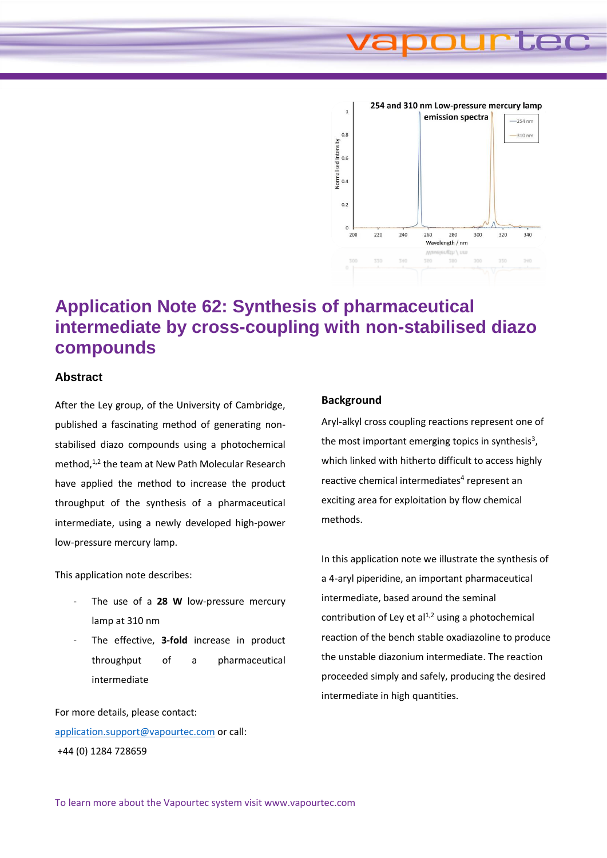# **Jec**



## **Application Note 62: Synthesis of pharmaceutical intermediate by cross-coupling with non-stabilised diazo compounds**

### **Abstract**

After the Ley group, of the University of Cambridge, published a fascinating method of generating nonstabilised diazo compounds using a photochemical method.<sup>1,2</sup> the team at New Path Molecular Research have applied the method to increase the product throughput of the synthesis of a pharmaceutical intermediate, using a newly developed high-power low-pressure mercury lamp.

This application note describes:

- The use of a 28 W low-pressure mercury lamp at 310 nm
- The effective, 3-fold increase in product throughput of a pharmaceutical intermediate

For more details, please contact: [application.support@vapourtec.com](mailto:application.support@vapourtec.com) or call: +44 (0) 1284 728659

### **Background**

Aryl-alkyl cross coupling reactions represent one of the most important emerging topics in synthesis<sup>3</sup>, which linked with hitherto difficult to access highly reactive chemical intermediates<sup>4</sup> represent an exciting area for exploitation by flow chemical methods.

In this application note we illustrate the synthesis of a 4-aryl piperidine, an important pharmaceutical intermediate, based around the seminal contribution of Ley et  $al<sup>1,2</sup>$  using a photochemical reaction of the bench stable oxadiazoline to produce the unstable diazonium intermediate. The reaction proceeded simply and safely, producing the desired intermediate in high quantities.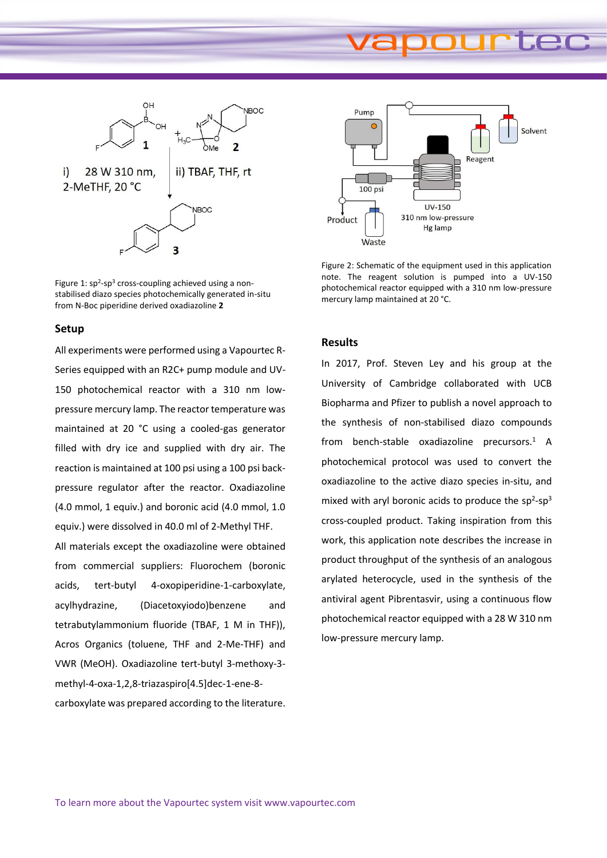## æc



Figure 1:  $sp<sup>2</sup>$ -sp<sup>3</sup> cross-coupling achieved using a nonstabilised diazo species photochemically generated in-situ from N-Boc piperidine derived oxadiazoline **2**

### **Setup**

All experiments were performed using a Vapourtec R-Series equipped with an R2C+ pump module and UV-150 photochemical reactor with a 310 nm lowpressure mercury lamp. The reactor temperature was maintained at 20 °C using a cooled-gas generator filled with dry ice and supplied with dry air. The reaction is maintained at 100 psi using a 100 psi backpressure regulator after the reactor. Oxadiazoline (4.0 mmol, 1 equiv.) and boronic acid (4.0 mmol, 1.0 equiv.) were dissolved in 40.0 ml of 2-Methyl THF.

All materials except the oxadiazoline were obtained from commercial suppliers: Fluorochem (boronic acids, tert-butyl 4-oxopiperidine-1-carboxylate, acylhydrazine, (Diacetoxyiodo)benzene and tetrabutylammonium fluoride (TBAF, 1 M in THF)), Acros Organics (toluene, THF and 2-Me-THF) and VWR (MeOH). Oxadiazoline tert-butyl 3-methoxy-3 methyl-4-oxa-1,2,8-triazaspiro[4.5]dec-1-ene-8 carboxylate was prepared according to the literature.



Figure 2: Schematic of the equipment used in this application note. The reagent solution is pumped into a UV-150 photochemical reactor equipped with a 310 nm low-pressure mercury lamp maintained at 20 °C.

### **Results**

In 2017, Prof. Steven Ley and his group at the University of Cambridge collaborated with UCB Biopharma and Pfizer to publish a novel approach to the synthesis of non-stabilised diazo compounds from bench-stable oxadiazoline precursors. $1$  A photochemical protocol was used to convert the oxadiazoline to the active diazo species in-situ, and mixed with aryl boronic acids to produce the  $sp^2$ -sp<sup>3</sup> cross-coupled product. Taking inspiration from this work, this application note describes the increase in product throughput of the synthesis of an analogous arylated heterocycle, used in the synthesis of the antiviral agent Pibrentasvir, using a continuous flow photochemical reactor equipped with a 28 W 310 nm low-pressure mercury lamp.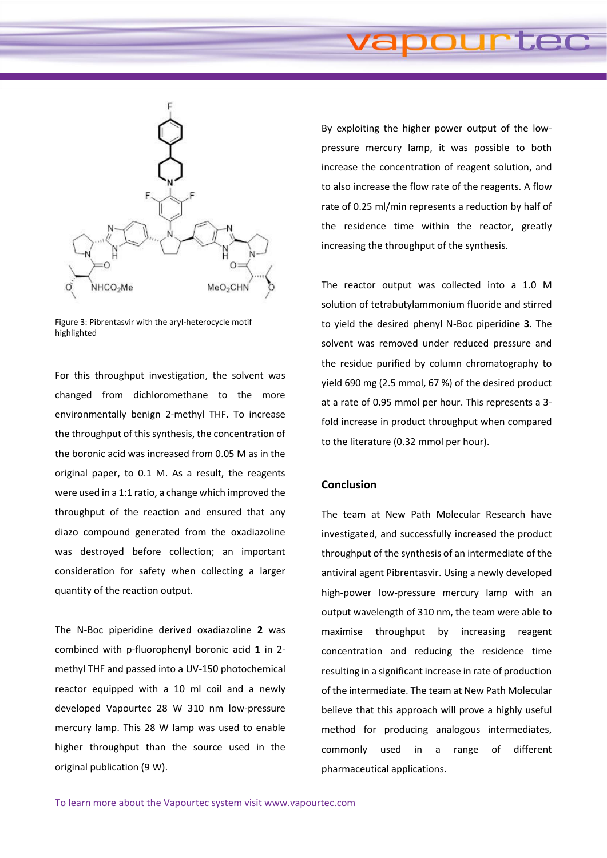

Figure 3: Pibrentasvir with the aryl-heterocycle motif highlighted

For this throughput investigation, the solvent was changed from dichloromethane to the more environmentally benign 2-methyl THF. To increase the throughput of this synthesis, the concentration of the boronic acid was increased from 0.05 M as in the original paper, to 0.1 M. As a result, the reagents were used in a 1:1 ratio, a change which improved the throughput of the reaction and ensured that any diazo compound generated from the oxadiazoline was destroyed before collection; an important consideration for safety when collecting a larger quantity of the reaction output.

The N-Boc piperidine derived oxadiazoline **2** was combined with p-fluorophenyl boronic acid **1** in 2 methyl THF and passed into a UV-150 photochemical reactor equipped with a 10 ml coil and a newly developed Vapourtec 28 W 310 nm low-pressure mercury lamp. This 28 W lamp was used to enable higher throughput than the source used in the original publication (9 W).

By exploiting the higher power output of the lowpressure mercury lamp, it was possible to both increase the concentration of reagent solution, and to also increase the flow rate of the reagents. A flow rate of 0.25 ml/min represents a reduction by half of the residence time within the reactor, greatly increasing the throughput of the synthesis.

The reactor output was collected into a 1.0 M solution of tetrabutylammonium fluoride and stirred to yield the desired phenyl N-Boc piperidine **3**. The solvent was removed under reduced pressure and the residue purified by column chromatography to yield 690 mg (2.5 mmol, 67 %) of the desired product at a rate of 0.95 mmol per hour. This represents a 3 fold increase in product throughput when compared to the literature (0.32 mmol per hour).

### **Conclusion**

The team at New Path Molecular Research have investigated, and successfully increased the product throughput of the synthesis of an intermediate of the antiviral agent Pibrentasvir. Using a newly developed high-power low-pressure mercury lamp with an output wavelength of 310 nm, the team were able to maximise throughput by increasing reagent concentration and reducing the residence time resulting in a significant increase in rate of production of the intermediate. The team at New Path Molecular believe that this approach will prove a highly useful method for producing analogous intermediates, commonly used in a range of different pharmaceutical applications.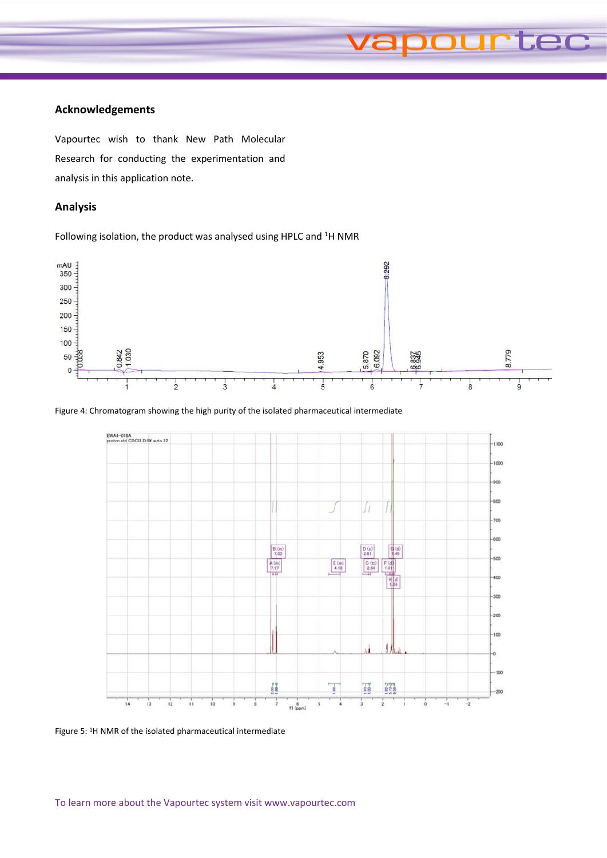### **Acknowledgements**

Vapourtec wish to thank New Path Molecular Research for conducting the experimentation and analysis in this application note.

### **Analysis**

Following isolation, the product was analysed using HPLC and <sup>1</sup>H NMR



**urtec** 

### Figure 4: Chromatogram showing the high purity of the isolated pharmaceutical intermediate



Figure 5: <sup>1</sup>H NMR of the isolated pharmaceutical intermediate